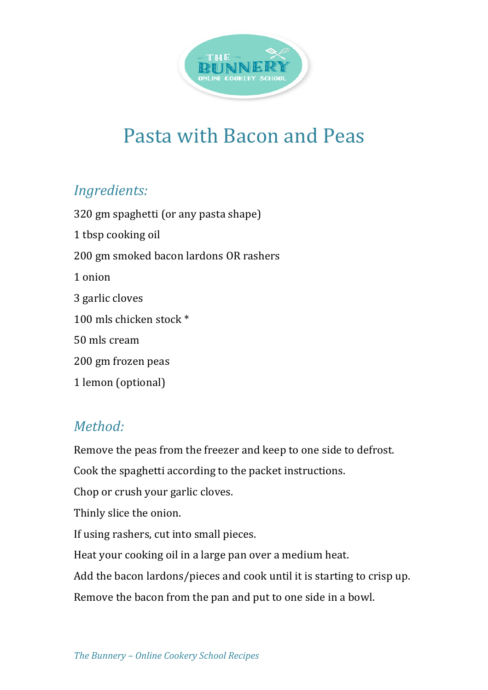

## Pasta with Bacon and Peas

## *Ingredients:*

320 gm spaghetti (or any pasta shape) 1 tbsp cooking oil 200 gm smoked bacon lardons OR rashers 1 onion 3 garlic cloves 100 mls chicken stock  $*$ 50 mls cream 200 gm frozen peas 

1 lemon (optional)

## *Method:*

Remove the peas from the freezer and keep to one side to defrost.

Cook the spaghetti according to the packet instructions.

Chop or crush your garlic cloves.

Thinly slice the onion.

If using rashers, cut into small pieces.

Heat your cooking oil in a large pan over a medium heat.

Add the bacon lardons/pieces and cook until it is starting to crisp up.

Remove the bacon from the pan and put to one side in a bowl.